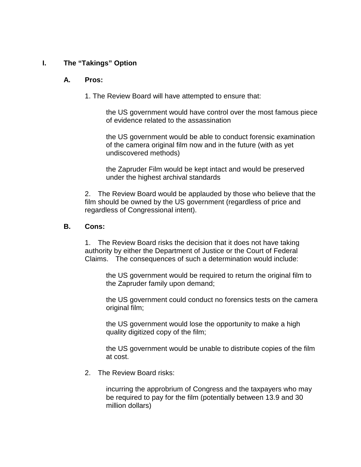### **I. The "Takings" Option**

#### **A. Pros:**

1. The Review Board will have attempted to ensure that:

the US government would have control over the most famous piece of evidence related to the assassination

the US government would be able to conduct forensic examination of the camera original film now and in the future (with as yet undiscovered methods)

the Zapruder Film would be kept intact and would be preserved under the highest archival standards

2. The Review Board would be applauded by those who believe that the film should be owned by the US government (regardless of price and regardless of Congressional intent).

#### **B. Cons:**

1. The Review Board risks the decision that it does not have taking authority by either the Department of Justice or the Court of Federal Claims. The consequences of such a determination would include:

the US government would be required to return the original film to the Zapruder family upon demand;

the US government could conduct no forensics tests on the camera original film;

the US government would lose the opportunity to make a high quality digitized copy of the film;

the US government would be unable to distribute copies of the film at cost.

2. The Review Board risks:

incurring the approbrium of Congress and the taxpayers who may be required to pay for the film (potentially between 13.9 and 30 million dollars)